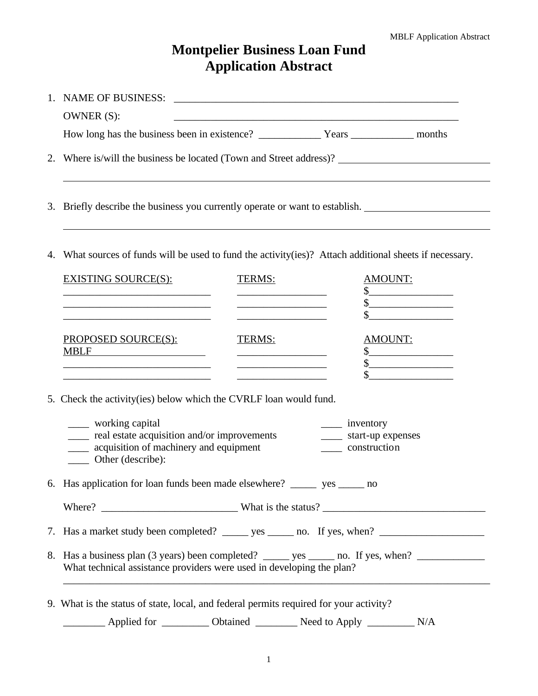## **Montpelier Business Loan Fund Application Abstract**

|                                                                                                             | OWNER (S):                                                                                                                                                                                                                                                                                                                                                                                                                                                                                                                                                                                                  |  |  |  |  |  |  |
|-------------------------------------------------------------------------------------------------------------|-------------------------------------------------------------------------------------------------------------------------------------------------------------------------------------------------------------------------------------------------------------------------------------------------------------------------------------------------------------------------------------------------------------------------------------------------------------------------------------------------------------------------------------------------------------------------------------------------------------|--|--|--|--|--|--|
|                                                                                                             |                                                                                                                                                                                                                                                                                                                                                                                                                                                                                                                                                                                                             |  |  |  |  |  |  |
|                                                                                                             | 2. Where is/will the business be located (Town and Street address)?                                                                                                                                                                                                                                                                                                                                                                                                                                                                                                                                         |  |  |  |  |  |  |
| 3.                                                                                                          | Briefly describe the business you currently operate or want to establish.                                                                                                                                                                                                                                                                                                                                                                                                                                                                                                                                   |  |  |  |  |  |  |
| What sources of funds will be used to fund the activity (ies)? Attach additional sheets if necessary.<br>4. |                                                                                                                                                                                                                                                                                                                                                                                                                                                                                                                                                                                                             |  |  |  |  |  |  |
|                                                                                                             | <b>EXISTING SOURCE(S):</b><br>TERMS:<br><b>AMOUNT:</b><br>$\frac{1}{2}$<br>$\frac{\text{S}}{\text{S}}$<br><u> 1989 - Andrea State Barbara, amerikan bahasa perang perang perang perang perang perang perang perang perang per</u>                                                                                                                                                                                                                                                                                                                                                                           |  |  |  |  |  |  |
|                                                                                                             | $\sim$ $\sim$<br>the control of the control of the control of the control of the control of the control of<br><b>PROPOSED SOURCE(S):</b><br>TERMS:<br>AMOUNT:<br><b>MBLF</b><br>$\frac{1}{2}$<br><u> 1989 - Johann Barbara, martin a</u><br>$\frac{\sqrt{2}}{2}$<br>the control of the control of the control of the control of<br>$\frac{1}{2}$                                                                                                                                                                                                                                                            |  |  |  |  |  |  |
|                                                                                                             | 5. Check the activity (ies) below which the CVRLF loan would fund.                                                                                                                                                                                                                                                                                                                                                                                                                                                                                                                                          |  |  |  |  |  |  |
|                                                                                                             | _____ working capital<br>$\frac{1}{\sqrt{1-\frac{1}{2}}\sqrt{1-\frac{1}{2}}\sqrt{1-\frac{1}{2}}\sqrt{1-\frac{1}{2}}\sqrt{1-\frac{1}{2}}\sqrt{1-\frac{1}{2}}\sqrt{1-\frac{1}{2}}\sqrt{1-\frac{1}{2}}\sqrt{1-\frac{1}{2}}\sqrt{1-\frac{1}{2}}\sqrt{1-\frac{1}{2}}\sqrt{1-\frac{1}{2}}\sqrt{1-\frac{1}{2}}\sqrt{1-\frac{1}{2}}\sqrt{1-\frac{1}{2}}\sqrt{1-\frac{1}{2}}\sqrt{1-\frac{1}{2}}\sqrt{1-\frac{1}{2}}\sqrt{1-\frac{1}{2}}\sqrt{1-\frac$<br>____ real estate acquisition and/or improvements<br>_____ start-up expenses<br>acquisition of machinery and equipment<br>construction<br>Other (describe): |  |  |  |  |  |  |
|                                                                                                             | 6. Has application for loan funds been made elsewhere? ________ yes _______ no                                                                                                                                                                                                                                                                                                                                                                                                                                                                                                                              |  |  |  |  |  |  |
|                                                                                                             |                                                                                                                                                                                                                                                                                                                                                                                                                                                                                                                                                                                                             |  |  |  |  |  |  |
|                                                                                                             |                                                                                                                                                                                                                                                                                                                                                                                                                                                                                                                                                                                                             |  |  |  |  |  |  |
|                                                                                                             | 8. Has a business plan (3 years) been completed? _______ yes _______ no. If yes, when? _____________<br>What technical assistance providers were used in developing the plan?                                                                                                                                                                                                                                                                                                                                                                                                                               |  |  |  |  |  |  |
|                                                                                                             | 9. What is the status of state, local, and federal permits required for your activity?<br>_________ Applied for ___________ Obtained __________ Need to Apply ___________<br>N/A                                                                                                                                                                                                                                                                                                                                                                                                                            |  |  |  |  |  |  |